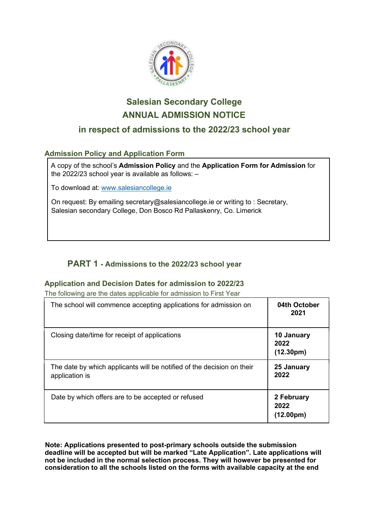

# Salesian Secondary College ANNUAL ADMISSION NOTICE

# in respect of admissions to the 2022/23 school year

# Admission Policy and Application Form

A copy of the school's Admission Policy and the Application Form for Admission for the 2022/23 school year is available as follows: –

To download at: www.salesiancollege.ie

On request: By emailing secretary@salesiancollege.ie or writing to : Secretary, Salesian secondary College, Don Bosco Rd Pallaskenry, Co. Limerick

# PART 1 - Admissions to the 2022/23 school year

# Application and Decision Dates for admission to 2022/23

The following are the dates applicable for admission to First Year

| The school will commence accepting applications for admission on                         | 04th October<br>2021                         |
|------------------------------------------------------------------------------------------|----------------------------------------------|
| Closing date/time for receipt of applications                                            | 10 January<br>2022<br>(12.30 <sub>pm</sub> ) |
| The date by which applicants will be notified of the decision on their<br>application is | 25 January<br>2022                           |
| Date by which offers are to be accepted or refused                                       | 2 February<br>2022<br>(12.00pm)              |

Note: Applications presented to post-primary schools outside the submission deadline will be accepted but will be marked "Late Application". Late applications will not be included in the normal selection process. They will however be presented for consideration to all the schools listed on the forms with available capacity at the end